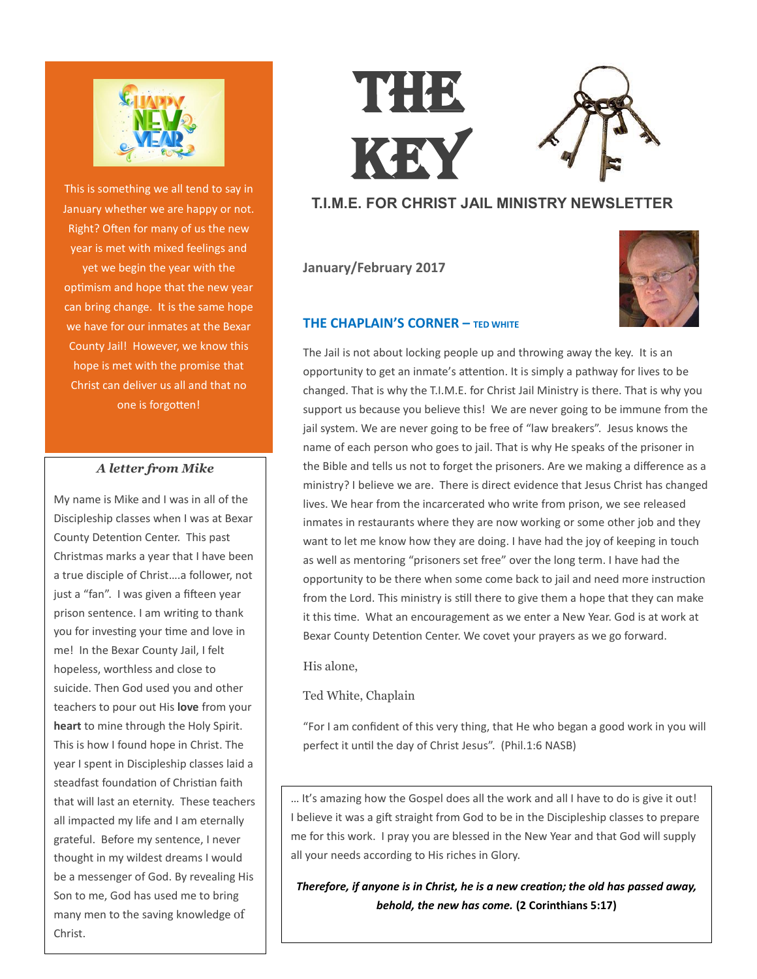

This is something we all tend to say in January whether we are happy or not. Right? Often for many of us the new year is met with mixed feelings and yet we begin the year with the optimism and hope that the new year can bring change. It is the same hope we have for our inmates at the Bexar County Jail! However, we know this hope is met with the promise that Christ can deliver us all and that no one is forgotten!

#### *A letter from Mike*

My name is Mike and I was in all of the Discipleship classes when I was at Bexar County Detention Center. This past Christmas marks a year that I have been a true disciple of Christ….a follower, not just a "fan". I was given a fifteen year prison sentence. I am writing to thank you for investing your time and love in me! In the Bexar County Jail, I felt hopeless, worthless and close to suicide. Then God used you and other teachers to pour out His **love** from your **heart** to mine through the Holy Spirit. This is how I found hope in Christ. The year I spent in Discipleship classes laid a steadfast foundation of Christian faith that will last an eternity. These teachers all impacted my life and I am eternally grateful. Before my sentence, I never thought in my wildest dreams I would be a messenger of God. By revealing His Son to me, God has used me to bring many men to the saving knowledge of Christ.

# THE KEY

## **T.I.M.E. FOR CHRIST JAIL MINISTRY NEWSLETTER**

**January/February 2017**



#### **THE CHAPLAIN'S CORNER – TED WHITE**

The Jail is not about locking people up and throwing away the key. It is an opportunity to get an inmate's attention. It is simply a pathway for lives to be changed. That is why the T.I.M.E. for Christ Jail Ministry is there. That is why you support us because you believe this! We are never going to be immune from the jail system. We are never going to be free of "law breakers". Jesus knows the name of each person who goes to jail. That is why He speaks of the prisoner in the Bible and tells us not to forget the prisoners. Are we making a difference as a ministry? I believe we are. There is direct evidence that Jesus Christ has changed lives. We hear from the incarcerated who write from prison, we see released inmates in restaurants where they are now working or some other job and they want to let me know how they are doing. I have had the joy of keeping in touch as well as mentoring "prisoners set free" over the long term. I have had the opportunity to be there when some come back to jail and need more instruction from the Lord. This ministry is still there to give them a hope that they can make it this time. What an encouragement as we enter a New Year. God is at work at Bexar County Detention Center. We covet your prayers as we go forward.

His alone,

Ted White, Chaplain

"For I am confident of this very thing, that He who began a good work in you will perfect it until the day of Christ Jesus". (Phil.1:6 NASB)

… It's amazing how the Gospel does all the work and all I have to do is give it out! I believe it was a gift straight from God to be in the Discipleship classes to prepare me for this work. I pray you are blessed in the New Year and that God will supply all your needs according to His riches in Glory.

### *Therefore, if anyone is in Christ, he is a new creation; the old has passed away, behold, the new has come.* **[\(2 Corinthians 5:17\)](https://www.biblegateway.com/passage/?search=2+Cor+5%3A17&version=RSV)**